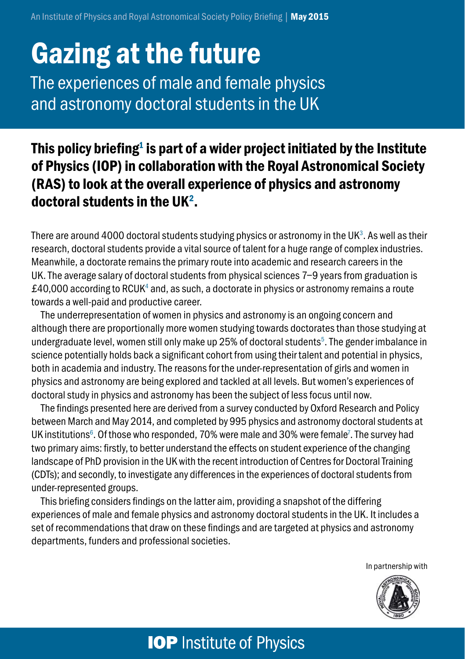# Gazing at the future

The experiences of male and female physics and astronomy doctoral students in the UK

### This policy briefing $^{\rm 1}$  is part of a wider project initiated by the Institute of Physics (IOP) in collaboration with the Royal Astronomical Society (RAS) to look at the overall experience of physics and astronomy doctoral students in the UK<sup>2</sup>.

There are around 4000 doctoral students studying physics or astronomy in the UK $^{\rm 3}$ . As well as their research, doctoral students provide a vital source of talent for a huge range of complex industries. Meanwhile, a doctorate remains the primary route into academic and research careers in the UK. The average salary of doctoral students from physical sciences 7–9 years from graduation is £40,000 according to RCUK $^{\rm 4}$  and, as such, a doctorate in physics or astronomy remains a route towards a well-paid and productive career.

The underrepresentation of women in physics and astronomy is an ongoing concern and although there are proportionally more women studying towards doctorates than those studying at undergraduate level, women still only make up 25% of doctoral students $^{\rm 5}$ . The gender imbalance in science potentially holds back a significant cohort from using their talent and potential in physics, both in academia and industry. The reasons for the under-representation of girls and women in physics and astronomy are being explored and tackled at all levels. But women's experiences of doctoral study in physics and astronomy has been the subject of less focus until now.

The findings presented here are derived from a survey conducted by Oxford Research and Policy between March and May 2014, and completed by 995 physics and astronomy doctoral students at UK institutions<sup>6</sup>. Of those who responded, 70% were male and 30% were female<sup>7</sup>. The survey had two primary aims: firstly, to better understand the effects on student experience of the changing landscape of PhD provision in the UK with the recent introduction of Centres for Doctoral Training (CDTs); and secondly, to investigate any differences in the experiences of doctoral students from under-represented groups.

This briefing considers findings on the latter aim, providing a snapshot of the differing experiences of male and female physics and astronomy doctoral students in the UK. It includes a set of recommendations that draw on these findings and are targeted at physics and astronomy departments, funders and professional societies.

In partnership with



## **IOP** Institute of Physics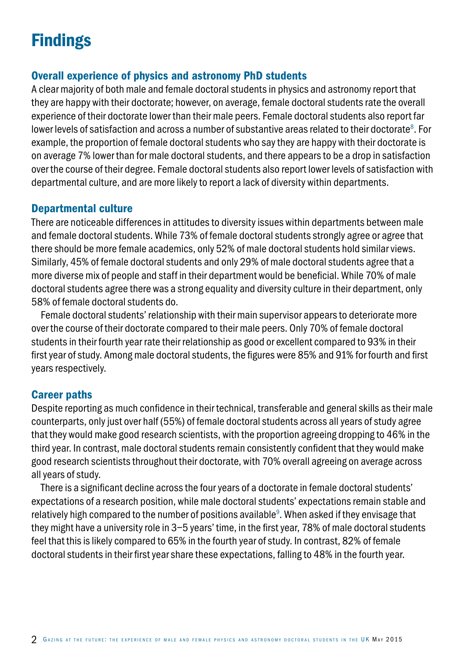## **Findings**

### Overall experience of physics and astronomy PhD students

A clear majority of both male and female doctoral students in physics and astronomy report that they are happy with their doctorate; however, on average, female doctoral students rate the overall experience of their doctorate lower than their male peers. Female doctoral students also report far lower levels of satisfaction and across a number of substantive areas related to their doctorate $^{\rm 8}$ . For example, the proportion of female doctoral students who say they are happy with their doctorate is on average 7% lower than for male doctoral students, and there appears to be a drop in satisfaction over the course of their degree. Female doctoral students also report lower levels of satisfaction with departmental culture, and are more likely to report a lack of diversity within departments.

### Departmental culture

There are noticeable differences in attitudes to diversity issues within departments between male and female doctoral students. While 73% of female doctoral students strongly agree or agree that there should be more female academics, only 52% of male doctoral students hold similar views. Similarly, 45% of female doctoral students and only 29% of male doctoral students agree that a more diverse mix of people and staff in their department would be beneficial. While 70% of male doctoral students agree there was a strong equality and diversity culture in their department, only 58% of female doctoral students do.

Female doctoral students' relationship with their main supervisor appears to deteriorate more over the course of their doctorate compared to their male peers. Only 70% of female doctoral students in their fourth year rate their relationship as good or excellent compared to 93% in their first year of study. Among male doctoral students, the figures were 85% and 91% for fourth and first years respectively.

### Career paths

Despite reporting as much confidence in their technical, transferable and general skills as their male counterparts, only just over half (55%) of female doctoral students across all years of study agree that they would make good research scientists, with the proportion agreeing dropping to 46% in the third year. In contrast, male doctoral students remain consistently confident that they would make good research scientists throughout their doctorate, with 70% overall agreeing on average across all years of study.

There is a significant decline across the four years of a doctorate in female doctoral students' expectations of a research position, while male doctoral students' expectations remain stable and relatively high compared to the number of positions available $^{\circ}$ . When asked if they envisage that they might have a university role in 3–5 years' time, in the first year, 78% of male doctoral students feel that this is likely compared to 65% in the fourth year of study. In contrast, 82% of female doctoral students in their first year share these expectations, falling to 48% in the fourth year.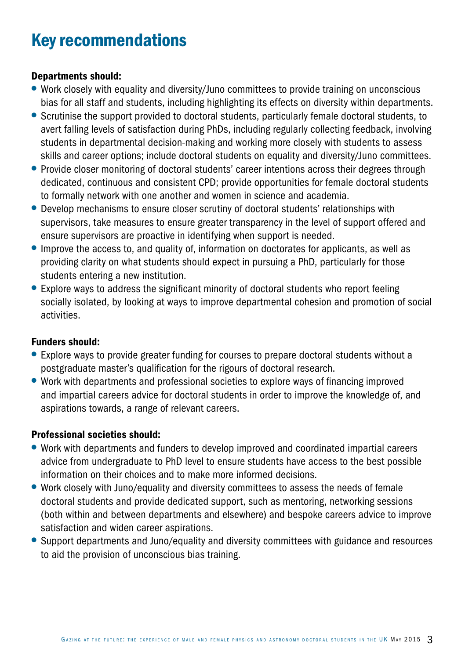### Key recommendations

#### Departments should:

- Work closely with equality and diversity/Juno committees to provide training on unconscious bias for all staff and students, including highlighting its effects on diversity within departments.
- Scrutinise the support provided to doctoral students, particularly female doctoral students, to avert falling levels of satisfaction during PhDs, including regularly collecting feedback, involving students in departmental decision-making and working more closely with students to assess skills and career options; include doctoral students on equality and diversity/Juno committees.
- Provide closer monitoring of doctoral students' career intentions across their degrees through dedicated, continuous and consistent CPD; provide opportunities for female doctoral students to formally network with one another and women in science and academia.
- Develop mechanisms to ensure closer scrutiny of doctoral students' relationships with supervisors, take measures to ensure greater transparency in the level of support offered and ensure supervisors are proactive in identifying when support is needed.
- Improve the access to, and quality of, information on doctorates for applicants, as well as providing clarity on what students should expect in pursuing a PhD, particularly for those students entering a new institution.
- Explore ways to address the significant minority of doctoral students who report feeling socially isolated, by looking at ways to improve departmental cohesion and promotion of social activities.

#### Funders should:

- Explore ways to provide greater funding for courses to prepare doctoral students without a postgraduate master's qualification for the rigours of doctoral research.
- Work with departments and professional societies to explore ways of financing improved and impartial careers advice for doctoral students in order to improve the knowledge of, and aspirations towards, a range of relevant careers.

#### Professional societies should:

- Work with departments and funders to develop improved and coordinated impartial careers advice from undergraduate to PhD level to ensure students have access to the best possible information on their choices and to make more informed decisions.
- Work closely with Juno/equality and diversity committees to assess the needs of female doctoral students and provide dedicated support, such as mentoring, networking sessions (both within and between departments and elsewhere) and bespoke careers advice to improve satisfaction and widen career aspirations.
- Support departments and Juno/equality and diversity committees with guidance and resources to aid the provision of unconscious bias training.